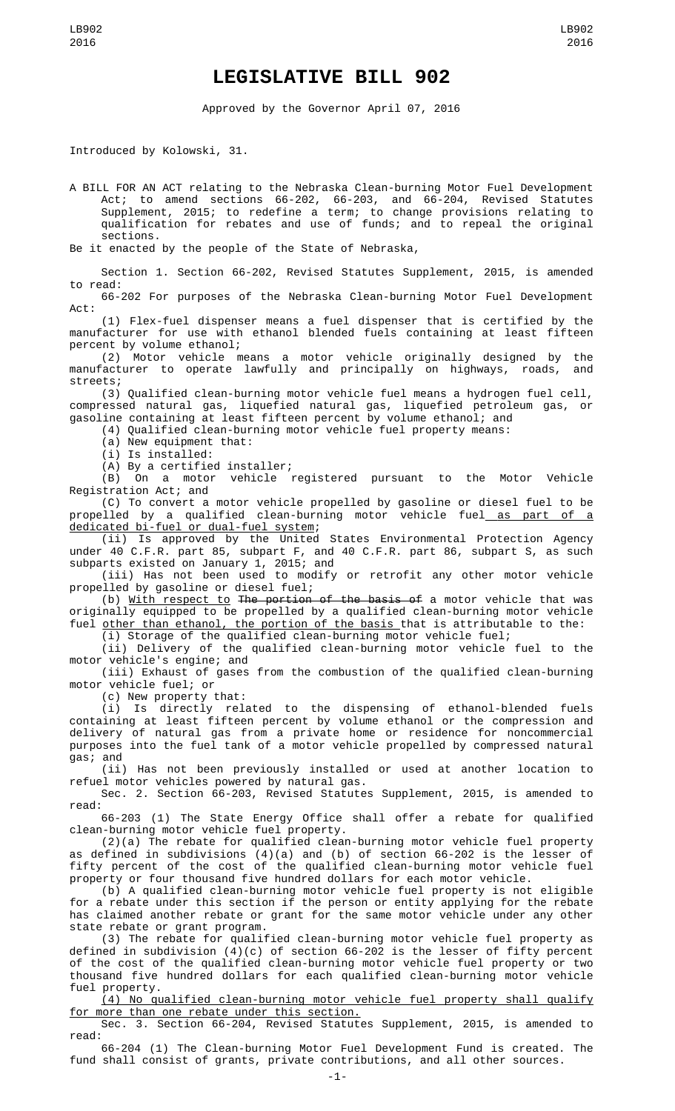## **LEGISLATIVE BILL 902**

Approved by the Governor April 07, 2016

Introduced by Kolowski, 31.

A BILL FOR AN ACT relating to the Nebraska Clean-burning Motor Fuel Development Act; to amend sections 66-202, 66-203, and 66-204, Revised Statutes Supplement, 2015; to redefine a term; to change provisions relating to qualification for rebates and use of funds; and to repeal the original sections.

Be it enacted by the people of the State of Nebraska,

Section 1. Section 66-202, Revised Statutes Supplement, 2015, is amended to read:

66-202 For purposes of the Nebraska Clean-burning Motor Fuel Development Act:

(1) Flex-fuel dispenser means a fuel dispenser that is certified by the manufacturer for use with ethanol blended fuels containing at least fifteen percent by volume ethanol;

(2) Motor vehicle means a motor vehicle originally designed by the manufacturer to operate lawfully and principally on highways, roads, and streets;

(3) Qualified clean-burning motor vehicle fuel means a hydrogen fuel cell, compressed natural gas, liquefied natural gas, liquefied petroleum gas, or gasoline containing at least fifteen percent by volume ethanol; and

(4) Qualified clean-burning motor vehicle fuel property means:

(a) New equipment that:

(i) Is installed:

(A) By a certified installer;

(B) On a motor vehicle registered pursuant to the Motor Vehicle Registration Act; and

(C) To convert a motor vehicle propelled by gasoline or diesel fuel to be propelled by a qualified clean-burning motor vehicle fuel<u> as part of a</u> dedicated bi-fuel or dual-fuel system;

(ii) Is approved by the United States Environmental Protection Agency under 40 C.F.R. part 85, subpart F, and 40 C.F.R. part 86, subpart S, as such subparts existed on January 1, 2015; and

(iii) Has not been used to modify or retrofit any other motor vehicle propelled by gasoline or diesel fuel;

(b) With respect to The portion of the basis of a motor vehicle that was originally equipped to be propelled by a qualified clean-burning motor vehicle fuel <u>other than ethanol, the portion of the basis t</u>hat is attributable to the:

(i) Storage of the qualified clean-burning motor vehicle fuel;

(ii) Delivery of the qualified clean-burning motor vehicle fuel to the motor vehicle's engine; and

(iii) Exhaust of gases from the combustion of the qualified clean-burning motor vehicle fuel; or

(c) New property that:

(i) Is directly related to the dispensing of ethanol-blended fuels containing at least fifteen percent by volume ethanol or the compression and delivery of natural gas from a private home or residence for noncommercial purposes into the fuel tank of a motor vehicle propelled by compressed natural gas; and

(ii) Has not been previously installed or used at another location to refuel motor vehicles powered by natural gas.

Sec. 2. Section 66-203, Revised Statutes Supplement, 2015, is amended to read:

66-203 (1) The State Energy Office shall offer a rebate for qualified clean-burning motor vehicle fuel property.

(2)(a) The rebate for qualified clean-burning motor vehicle fuel property as defined in subdivisions (4)(a) and (b) of section 66-202 is the lesser of fifty percent of the cost of the qualified clean-burning motor vehicle fuel property or four thousand five hundred dollars for each motor vehicle.

(b) A qualified clean-burning motor vehicle fuel property is not eligible for a rebate under this section if the person or entity applying for the rebate has claimed another rebate or grant for the same motor vehicle under any other state rebate or grant program.

(3) The rebate for qualified clean-burning motor vehicle fuel property as defined in subdivision (4)(c) of section 66-202 is the lesser of fifty percent of the cost of the qualified clean-burning motor vehicle fuel property or two thousand five hundred dollars for each qualified clean-burning motor vehicle fuel property.

(4) No qualified clean-burning motor vehicle fuel property shall qualify for more than one rebate under this section.

Sec. 3. Section 66-204, Revised Statutes Supplement, 2015, is amended to read:

66-204 (1) The Clean-burning Motor Fuel Development Fund is created. The fund shall consist of grants, private contributions, and all other sources.